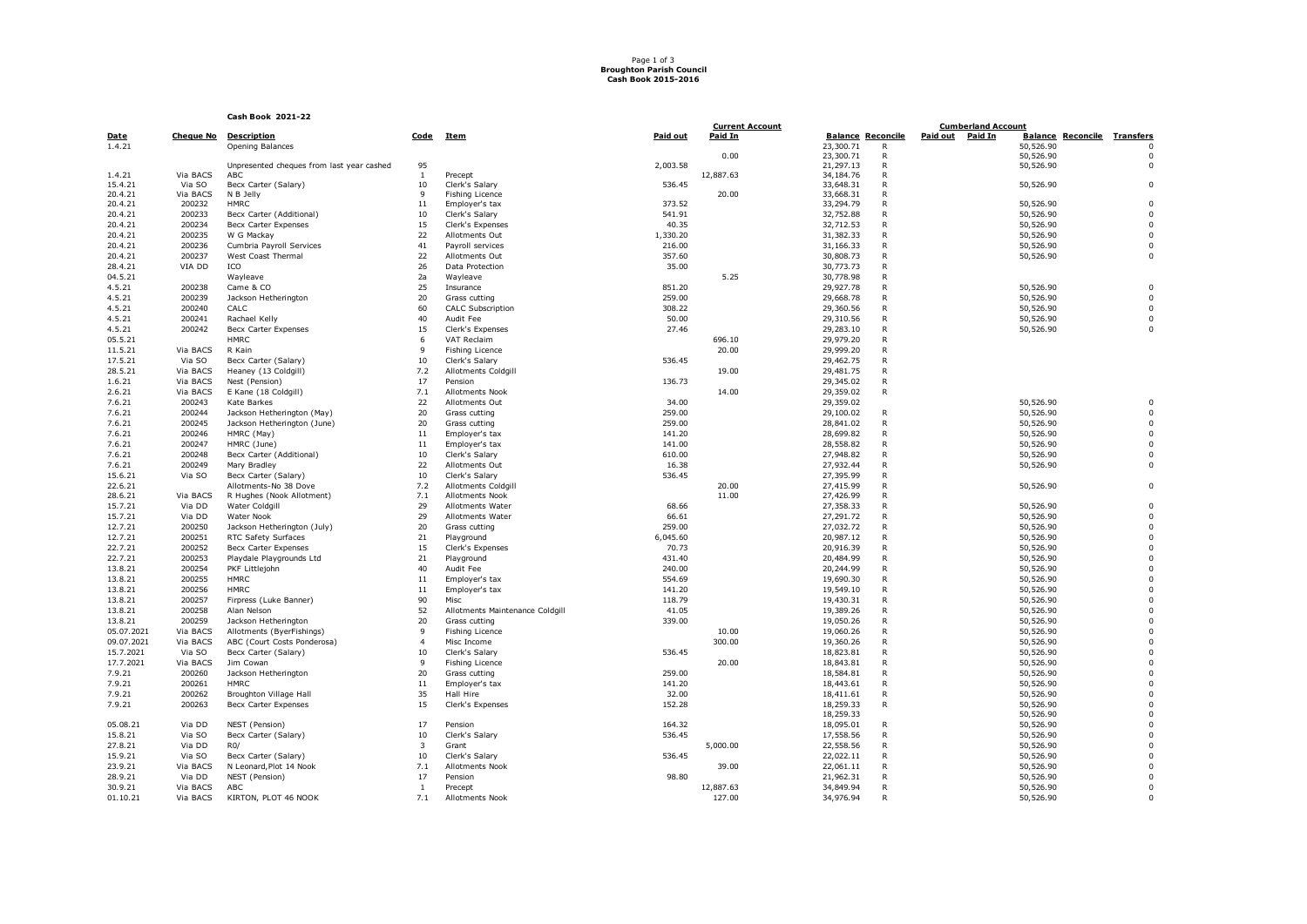## Page 1 of 3 **Broughton Parish Council Cash Book 2015-2016**

## **Cash Book 2021-22**

|            |          | Cash Book 2021-22                         |                |                                 |          |                                   |                             |                                               |                                    |                         |  |
|------------|----------|-------------------------------------------|----------------|---------------------------------|----------|-----------------------------------|-----------------------------|-----------------------------------------------|------------------------------------|-------------------------|--|
| Date       |          | <b>Cheque No Description</b>              | Code           | Item                            | Paid out | <b>Current Account</b><br>Paid In | <b>Balance Reconcile</b>    | <b>Cumberland Account</b><br>Paid out Paid In | <b>Balance Reconcile Transfers</b> |                         |  |
| 1.4.21     |          | Opening Balances                          |                |                                 |          |                                   | 23,300.71<br>R              |                                               | 50,526.90                          | $\Omega$                |  |
|            |          |                                           |                |                                 |          | 0.00                              | 23,300.71<br>$\mathsf{R}$   |                                               | 50,526.90                          | $\Omega$                |  |
|            |          | Unpresented cheques from last year cashed | 95             |                                 | 2,003.58 |                                   | 21,297.13<br>$\mathsf{R}$   |                                               | 50,526.90                          | $\Omega$                |  |
| 1.4.21     | Via BACS | ABC                                       | $\mathbf{1}$   | Precept                         |          | 12,887.63                         | $\mathsf{R}$<br>34, 184. 76 |                                               |                                    |                         |  |
| 15.4.21    | Via SO   | Becx Carter (Salary)                      | 10             | Clerk's Salary                  | 536.45   |                                   | 33,648.31<br>R              |                                               | 50,526.90                          | $\Omega$                |  |
| 20.4.21    | Via BACS | N B Jelly                                 | 9              | <b>Fishing Licence</b>          |          | 20.00                             | 33,668.31<br>R              |                                               |                                    |                         |  |
| 20.4.21    | 200232   | <b>HMRC</b>                               | 11             | Employer's tax                  | 373.52   |                                   | 33,294.79<br>R              |                                               | 50,526.90                          | $\Omega$                |  |
| 20.4.21    | 200233   | Becx Carter (Additional)                  | 10             | Clerk's Salary                  | 541.91   |                                   | 32,752.88<br>R              |                                               | 50,526.90                          | $\Omega$                |  |
| 20.4.21    | 200234   | Becx Carter Expenses                      | 15             | Clerk's Expenses                | 40.35    |                                   | $\mathsf{R}$<br>32,712.53   |                                               | 50,526.90                          | $\Omega$                |  |
| 20.4.21    | 200235   | W G Mackay                                | 22             | Allotments Out                  | 1,330.20 |                                   | 31,382.33<br>R              |                                               | 50,526.90                          | $\mathbf 0$             |  |
| 20.4.21    | 200236   | Cumbria Payroll Services                  | 41             | Payroll services                | 216.00   |                                   | R<br>31,166.33              |                                               | 50,526.90                          | $\Omega$                |  |
| 20.4.21    | 200237   | West Coast Thermal                        | 22             | Allotments Out                  | 357.60   |                                   | 30,808.73<br>R              |                                               | 50,526.90                          | $\Omega$                |  |
| 28.4.21    | VIA DD   | ICO                                       | 26             | Data Protection                 | 35.00    |                                   | $\mathsf{R}$<br>30,773.73   |                                               |                                    |                         |  |
| 04.5.21    |          | Wayleave                                  | 2a             | Wayleave                        |          | 5.25                              | 30,778.98<br>R              |                                               |                                    |                         |  |
| 4.5.21     | 200238   | Came & CO                                 | 25             | Insurance                       | 851.20   |                                   | 29,927.78<br>R              |                                               | 50,526.90                          | $\mathbf 0$             |  |
| 4.5.21     | 200239   | Jackson Hetherington                      | 20             | Grass cutting                   | 259.00   |                                   | 29,668.78<br>$\mathsf{R}$   |                                               | 50,526.90                          | $\Omega$                |  |
| 4.5.21     | 200240   | CALC                                      | 60             | <b>CALC Subscription</b>        | 308.22   |                                   | $\mathsf{R}$<br>29,360.56   |                                               | 50,526.90                          | $\Omega$                |  |
| 4.5.21     | 200241   | Rachael Kelly                             | 40             | Audit Fee                       | 50.00    |                                   | 29,310.56<br>$\mathsf{R}$   |                                               | 50,526.90                          | $\mathbf 0$             |  |
| 4.5.21     | 200242   | Becx Carter Expenses                      | 15             | Clerk's Expenses                | 27.46    |                                   | 29,283.10<br>R              |                                               | 50,526.90                          | $\Omega$                |  |
| 05.5.21    |          | <b>HMRC</b>                               | 6              | VAT Reclaim                     |          | 696.10                            | 29,979.20<br>$\mathsf{R}$   |                                               |                                    |                         |  |
| 11.5.21    | Via BACS | R Kain                                    | $\mathsf{Q}$   | <b>Fishing Licence</b>          |          | 20.00                             | 29,999.20<br>R              |                                               |                                    |                         |  |
| 17.5.21    | Via SO   | Becx Carter (Salary)                      | 10             | Clerk's Salary                  | 536.45   |                                   | 29,462.75<br>R              |                                               |                                    |                         |  |
| 28.5.21    | Via BACS | Heaney (13 Coldgill)                      | 7.2            | <b>Allotments Coldaill</b>      |          | 19.00                             | 29,481.75<br>$\mathsf{R}$   |                                               |                                    |                         |  |
| 1.6.21     | Via BACS | Nest (Pension)                            | 17             | Pension                         | 136.73   |                                   | $\mathsf{R}$<br>29,345.02   |                                               |                                    |                         |  |
| 2.6.21     | Via BACS | E Kane (18 Coldgill)                      | 7.1            | Allotments Nook                 |          | 14.00                             | 29,359.02<br>$\mathsf{R}$   |                                               |                                    |                         |  |
| 7.6.21     | 200243   | Kate Barkes                               | 22             | Allotments Out                  | 34.00    |                                   | 29,359.02                   |                                               | 50,526.90                          | $\mathbf 0$             |  |
| 7.6.21     | 200244   | Jackson Hetherington (May)                | 20             | Grass cutting                   | 259.00   |                                   | 29,100.02<br>$\mathsf{R}$   |                                               | 50,526.90                          | $\Omega$                |  |
| 7.6.21     | 200245   | Jackson Hetherington (June)               | 20             | Grass cutting                   | 259.00   |                                   | $\mathsf{R}$<br>28,841.02   |                                               | 50,526.90                          | $\Omega$                |  |
| 7.6.21     | 200246   | HMRC (May)                                | 11             | Employer's tax                  | 141.20   |                                   | 28,699.82<br>$\mathsf{R}$   |                                               | 50,526.90                          | $\Omega$                |  |
| 7.6.21     | 200247   |                                           | 11             |                                 | 141.00   |                                   | R                           |                                               |                                    | $\mathbf 0$             |  |
|            |          | HMRC (June)                               |                | Employer's tax                  |          |                                   | 28,558.82                   |                                               | 50,526.90                          |                         |  |
| 7.6.21     | 200248   | Becx Carter (Additional)                  | 10             | Clerk's Salary                  | 610.00   |                                   | 27,948.82<br>R              |                                               | 50,526.90                          | $\mathbf 0$<br>$\Omega$ |  |
| 7.6.21     | 200249   | Mary Bradley                              | 22             | Allotments Out                  | 16.38    |                                   | $\mathsf{R}$<br>27,932.44   |                                               | 50,526.90                          |                         |  |
| 15.6.21    | Via SO   | Becx Carter (Salary)                      | 10             | Clerk's Salary                  | 536.45   |                                   | 27,395.99<br>R              |                                               |                                    |                         |  |
| 22.6.21    |          | Allotments-No 38 Dove                     | 7.2            | <b>Allotments Coldgill</b>      |          | 20.00                             | 27,415.99<br>$\mathsf{R}$   |                                               | 50,526.90                          | $\mathbf 0$             |  |
| 28.6.21    | Via BACS | R Hughes (Nook Allotment)                 | 7.1            | Allotments Nook                 |          | 11.00                             | 27,426.99<br>$\mathsf{R}$   |                                               |                                    |                         |  |
| 15.7.21    | Via DD   | Water Coldgill                            | 29             | Allotments Water                | 68.66    |                                   | 27,358.33<br>$\mathsf{R}$   |                                               | 50,526.90                          | $\Omega$                |  |
| 15.7.21    | Via DD   | Water Nook                                | 29             | Allotments Water                | 66.61    |                                   | 27,291.72<br>R              |                                               | 50,526.90                          | $\mathbf 0$             |  |
| 12.7.21    | 200250   | Jackson Hetherington (July)               | 20             | Grass cutting                   | 259.00   |                                   | 27,032.72<br>$\mathsf{R}$   |                                               | 50,526.90                          | $\Omega$                |  |
| 12.7.21    | 200251   | RTC Safety Surfaces                       | 21             | Playground                      | 6,045.60 |                                   | 20,987.12<br>R              |                                               | 50,526.90                          | $\mathbf 0$             |  |
| 22.7.21    | 200252   | Becx Carter Expenses                      | 15             | Clerk's Expenses                | 70.73    |                                   | 20,916.39<br>$\mathsf{R}$   |                                               | 50,526.90                          | $\Omega$                |  |
| 22.7.21    | 200253   | Playdale Playgrounds Ltd                  | 21             | Playground                      | 431.40   |                                   | 20,484.99<br>R              |                                               | 50,526.90                          | $\Omega$                |  |
| 13.8.21    | 200254   | PKF Littlejohn                            | 40             | Audit Fee                       | 240.00   |                                   | 20,244.99<br>$\mathsf{R}$   |                                               | 50,526.90                          | $\Omega$                |  |
| 13.8.21    | 200255   | <b>HMRC</b>                               | 11             | Employer's tax                  | 554.69   |                                   | R<br>19,690.30              |                                               | 50,526.90                          | $\mathbf 0$             |  |
| 13.8.21    | 200256   | <b>HMRC</b>                               | 11             | Employer's tax                  | 141.20   |                                   | 19,549.10<br>R              |                                               | 50,526.90                          | $\Omega$                |  |
| 13.8.21    | 200257   | Firpress (Luke Banner)                    | 90             | Misc                            | 118.79   |                                   | 19,430.31<br>$\mathsf{R}$   |                                               | 50,526.90                          | $\Omega$                |  |
| 13.8.21    | 200258   | Alan Nelson                               | 52             | Allotments Maintenance Coldgill | 41.05    |                                   | 19,389.26<br>$\mathsf{R}$   |                                               | 50,526.90                          | $\Omega$                |  |
| 13.8.21    | 200259   | Jackson Hetherington                      | 20             | Grass cutting                   | 339.00   |                                   | 19,050.26<br>R              |                                               | 50,526.90                          | $\mathbf 0$             |  |
| 05.07.2021 | Via BACS | Allotments (ByerFishings)                 | $\mathsf{Q}$   | <b>Fishing Licence</b>          |          | 10.00                             | R<br>19,060.26              |                                               | 50,526.90                          | $\Omega$                |  |
| 09.07.2021 | Via BACS | ABC (Court Costs Ponderosa)               | $\overline{4}$ | Misc Income                     |          | 300.00                            | 19,360.26<br>$\mathsf{R}$   |                                               | 50,526.90                          | $\Omega$                |  |
| 15.7.2021  | Via SO   | Becx Carter (Salary)                      | 10             | Clerk's Salary                  | 536.45   |                                   | 18,823.81<br>$\mathsf{R}$   |                                               | 50,526.90                          | $\Omega$                |  |
| 17.7.2021  | Via BACS | Jim Cowan                                 | $\mathsf{Q}$   | Fishing Licence                 |          | 20.00                             | 18,843.81<br>R              |                                               | 50,526.90                          | $\mathbf 0$             |  |
| 7.9.21     | 200260   | Jackson Hetherington                      | 20             | Grass cutting                   | 259.00   |                                   | 18,584.81<br>R              |                                               | 50,526.90                          | $\Omega$                |  |
| 7.9.21     | 200261   | <b>HMRC</b>                               | 11             | Employer's tax                  | 141.20   |                                   | 18,443.61<br>$\mathsf{R}$   |                                               | 50,526.90                          | $\Omega$                |  |
| 7.9.21     | 200262   | <b>Broughton Village Hall</b>             | 35             | Hall Hire                       | 32.00    |                                   | 18,411.61<br>R              |                                               | 50,526.90                          | $\Omega$                |  |
| 7.9.21     | 200263   | <b>Becx Carter Expenses</b>               | 15             | Clerk's Expenses                | 152.28   |                                   | 18,259.33<br>R              |                                               | 50,526.90                          | $\mathbf 0$             |  |
|            |          |                                           |                |                                 |          |                                   | 18,259.33                   |                                               | 50,526.90                          | $\Omega$                |  |
| 05.08.21   | Via DD   | NEST (Pension)                            | 17             | Pension                         | 164.32   |                                   | 18,095.01<br>$\mathsf{R}$   |                                               | 50,526.90                          | $\Omega$                |  |
| 15.8.21    | Via SO   | Becx Carter (Salary)                      | 10             | Clerk's Salary                  | 536.45   |                                   | $\mathsf{R}$<br>17,558.56   |                                               | 50,526.90                          | $\Omega$                |  |
| 27.8.21    | Via DD   | RO/                                       | 3              | Grant                           |          | 5,000.00                          | 22,558.56<br>R              |                                               | 50,526.90                          | $\Omega$                |  |
| 15.9.21    | Via SO   | Becx Carter (Salary)                      | 10             | Clerk's Salary                  | 536.45   |                                   | 22,022.11<br>R              |                                               | 50,526.90                          | $\mathbf 0$             |  |
| 23.9.21    | Via BACS | N Leonard, Plot 14 Nook                   | 7.1            | Allotments Nook                 |          | 39.00                             | 22,061.11<br>$\mathsf{R}$   |                                               | 50,526.90                          | $\Omega$                |  |
| 28.9.21    | Via DD   | NEST (Pension)                            | 17             | Pension                         | 98.80    |                                   | 21,962.31<br>R              |                                               | 50,526.90                          | $\Omega$                |  |
| 30.9.21    | Via BACS | ABC                                       | 1              | Precept                         |          | 12,887.63                         | 34,849.94<br>R              |                                               | 50,526.90                          | $\mathbf 0$             |  |
| 01.10.21   | Via BACS | KIRTON, PLOT 46 NOOK                      | 7.1            | Allotments Nook                 |          | 127.00                            | 34,976.94<br>R              |                                               | 50,526.90                          | $\Omega$                |  |
|            |          |                                           |                |                                 |          |                                   |                             |                                               |                                    |                         |  |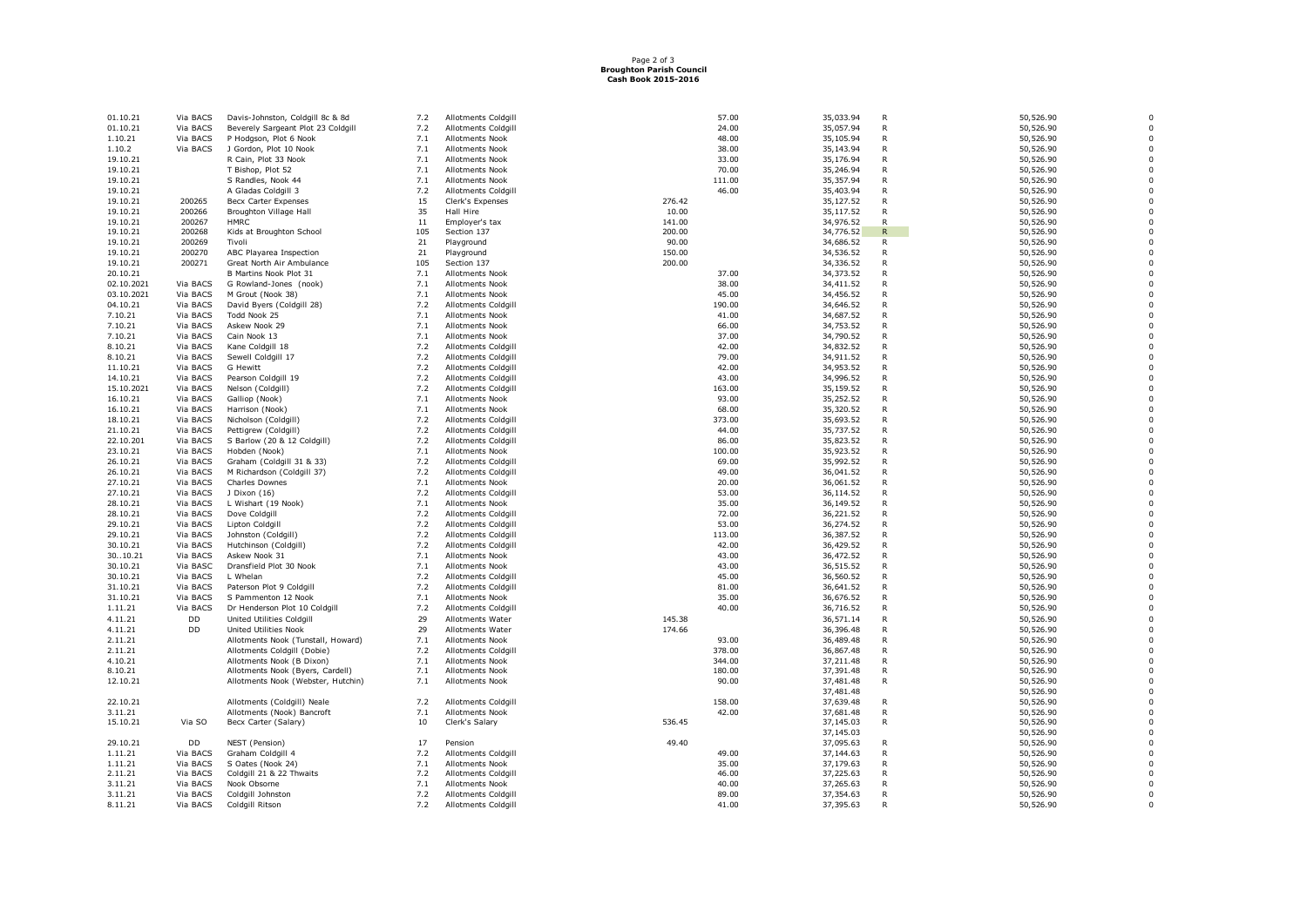## Page 2 of 3 **Broughton Parish Council Cash Book 2015-2016**

| 01.10.21                 | Via BACS         | Davis-Johnston, Coldgill 8c & 8d            | 7.2        | Allotments Coldgill               |                 | 57.00  | 35,033.94              | $\mathsf{R}$      | 50,526.90              |  |
|--------------------------|------------------|---------------------------------------------|------------|-----------------------------------|-----------------|--------|------------------------|-------------------|------------------------|--|
| 01.10.21                 | Via BACS         | Beverely Sargeant Plot 23 Coldgil           | 7.2        | Allotments Coldgill               |                 | 24.00  | 35,057.94              | R                 | 50,526.90              |  |
| 1.10.21                  | Via BACS         | P Hodgson, Plot 6 Nook                      | 7.1        | <b>Allotments Nook</b>            |                 | 48.00  | 35,105.94              | $\mathsf{R}$      | 50,526.90              |  |
| 1.10.2                   | Via BACS         | J Gordon, Plot 10 Nook                      | 7.1        | Allotments Nook                   |                 | 38.00  | 35,143.94              | R                 | 50,526.90              |  |
| 19.10.21                 |                  | R Cain, Plot 33 Nook                        | 7.1        | <b>Allotments Nook</b>            |                 | 33.00  | 35,176.94              | R                 | 50,526.90              |  |
| 19.10.21                 |                  | T Bishop, Plot 52                           | 7.1        | <b>Allotments Nook</b>            |                 | 70.00  | 35,246.94              | R                 | 50,526.90              |  |
| 19.10.21                 |                  | S Randles, Nook 44                          | 7.1        | <b>Allotments Nook</b>            |                 | 111.00 | 35, 357.94             | R                 | 50,526.90              |  |
| 19.10.21                 |                  | A Gladas Coldgill 3                         | 7.2        | <b>Allotments Coldgill</b>        |                 | 46.00  | 35,403.94              | $\mathsf{R}$      | 50,526.90              |  |
| 19.10.21                 | 200265           | <b>Becx Carter Expenses</b>                 | 15         | Clerk's Expenses                  | 276.42          |        | 35,127.52              | R                 | 50,526.90              |  |
| 19.10.21                 | 200266           | Broughton Village Hall                      | 35         | Hall Hire                         | 10.00           |        | 35,117.52              | R                 | 50,526.90              |  |
| 19.10.21                 | 200267           | <b>HMRC</b>                                 | 11         | Employer's tax                    | 141.00          |        | 34,976.52              | $\mathsf{R}$      | 50,526.90              |  |
| 19.10.21                 | 200268           | Kids at Broughton School                    | 105        | Section 137                       | 200.00          |        | 34,776.52              | $\mathsf{R}$      | 50,526.90              |  |
| 19.10.21<br>19.10.21     | 200269<br>200270 | Tivoli<br>ABC Playarea Inspection           | 21<br>21   | Playground<br>Playground          | 90.00<br>150.00 |        | 34,686.52<br>34,536.52 | R<br>$\mathsf{R}$ | 50,526.90              |  |
| 19.10.21                 | 200271           | Great North Air Ambulance                   | 105        | Section 137                       | 200.00          |        | 34,336.52              | R                 | 50,526.90<br>50,526.90 |  |
| 20.10.21                 |                  | B Martins Nook Plot 31                      | 7.1        | <b>Allotments Nook</b>            |                 | 37.00  | 34,373.52              | R                 |                        |  |
|                          | Via BACS         |                                             |            | <b>Allotments Nook</b>            |                 | 38.00  |                        | $\mathsf{R}$      | 50,526.90<br>50,526.90 |  |
| 02.10.2021<br>03.10.2021 | Via BACS         | G Rowland-Jones (nook)<br>M Grout (Nook 38) | 7.1<br>7.1 | Allotments Nook                   |                 | 45.00  | 34,411.52<br>34,456.52 | R                 | 50,526.90              |  |
| 04.10.21                 | Via BACS         | David Byers (Coldgill 28)                   | 7.2        | Allotments Coldgill               |                 | 190.00 | 34,646.52              | R                 | 50,526.90              |  |
| 7.10.21                  | Via BACS         | Todd Nook 25                                | 7.1        | Allotments Nook                   |                 | 41.00  | 34,687.52              | R                 | 50,526.90              |  |
| 7.10.21                  | Via BACS         | Askew Nook 29                               | 7.1        | Allotments Nook                   |                 | 66.00  | 34,753.52              | R                 | 50,526.90              |  |
| 7.10.21                  | Via BACS         | Cain Nook 13                                | 7.1        | Allotments Nook                   |                 | 37.00  | 34,790.52              | R                 | 50,526.90              |  |
| 8.10.21                  | Via BACS         | Kane Coldgill 18                            | 7.2        | Allotments Coldgill               |                 | 42.00  | 34,832.52              | $\mathsf R$       | 50,526.90              |  |
| 8.10.21                  | Via BACS         | Sewell Coldgill 17                          | 7.2        | <b>Allotments Coldgill</b>        |                 | 79.00  | 34,911.52              | R                 | 50,526.90              |  |
| 11.10.21                 | Via BACS         | G Hewitt                                    | 7.2        | Allotments Coldgill               |                 | 42.00  | 34,953.52              | $\mathsf{R}$      | 50,526.90              |  |
| 14.10.21                 | Via BACS         | Pearson Coldgill 19                         | 7.2        | Allotments Coldgill               |                 | 43.00  | 34,996.52              | R                 | 50,526.90              |  |
| 15.10.2021               | Via BACS         | Nelson (Coldgill)                           | 7.2        | Allotments Coldgill               |                 | 163.00 | 35,159.52              | R                 | 50,526.90              |  |
| 16.10.21                 | Via BACS         | Galliop (Nook)                              | 7.1        | Allotments Nook                   |                 | 93.00  | 35,252.52              | R                 | 50,526.90              |  |
| 16.10.21                 | Via BACS         | Harrison (Nook)                             | 7.1        | <b>Allotments Nook</b>            |                 | 68.00  | 35,320.52              | $\mathsf{R}$      | 50,526.90              |  |
| 18.10.21                 | Via BACS         | Nicholson (Coldgill)                        | 7.2        | Allotments Coldgill               |                 | 373.00 | 35,693.52              | R                 | 50,526.90              |  |
| 21.10.21                 | Via BACS         | Pettigrew (Coldgill)                        | 7.2        | Allotments Coldgill               |                 | 44.00  | 35,737.52              | R                 | 50,526.90              |  |
| 22.10.201                | Via BACS         | S Barlow (20 & 12 Coldgill)                 | 7.2        | Allotments Coldgill               |                 | 86.00  | 35,823.52              | $\mathsf{R}$      | 50,526.90              |  |
| 23.10.21                 | Via BACS         | Hobden (Nook)                               | 7.1        | Allotments Nook                   |                 | 100.00 | 35,923.52              | R                 | 50,526.90              |  |
| 26.10.21                 | Via BACS         | Graham (Coldgill 31 & 33)                   | 7.2        | Allotments Coldgill               |                 | 69.00  | 35,992.52              | R                 | 50,526.90              |  |
| 26.10.21                 | Via BACS         | M Richardson (Coldgill 37)                  | 7.2        | <b>Allotments Coldgill</b>        |                 | 49.00  | 36,041.52              | R                 | 50,526.90              |  |
| 27.10.21                 | Via BACS         | Charles Downes                              | 7.1        | Allotments Nook                   |                 | 20.00  | 36,061.52              | R                 | 50,526.90              |  |
| 27.10.21                 | Via BACS         | J Dixon (16)                                | 7.2        | Allotments Coldgill               |                 | 53.00  | 36,114.52              | R                 | 50,526.90              |  |
| 28.10.21                 | Via BACS         | L Wishart (19 Nook)                         | 7.1        | Allotments Nook                   |                 | 35.00  | 36,149.52              | $\mathsf{R}$      | 50,526.90              |  |
| 28.10.21                 | Via BACS         | Dove Coldgill                               | 7.2        | Allotments Coldgill               |                 | 72.00  | 36,221.52              | R                 | 50,526.90              |  |
| 29.10.21                 | Via BACS         | Lipton Coldgill                             | 7.2        | Allotments Coldgill               |                 | 53.00  | 36,274.52              | R                 | 50,526.90              |  |
| 29.10.21                 | Via BACS         | Johnston (Coldgill)                         | 7.2        | Allotments Coldgill               |                 | 113.00 | 36,387.52              | R                 | 50,526.90              |  |
| 30.10.21                 | Via BACS         | Hutchinson (Coldgill)                       | 7.2        | <b>Allotments Coldgill</b>        |                 | 42.00  | 36,429.52              | R                 | 50,526.90              |  |
| 3010.21                  | Via BACS         | Askew Nook 31                               | 7.1        | Allotments Nook                   |                 | 43.00  | 36,472.52              | R                 | 50,526.90              |  |
| 30.10.21                 | Via BASC         | Dransfield Plot 30 Nook                     | 7.1        | Allotments Nook                   |                 | 43.00  | 36,515.52              | R                 | 50,526.90              |  |
| 30.10.21                 | Via BACS         | L Whelan                                    | 7.2        | Allotments Coldgill               |                 | 45.00  | 36,560.52              | $\mathsf{R}$      | 50,526.90              |  |
| 31.10.21                 | Via BACS         | Paterson Plot 9 Coldgill                    | 7.2        | Allotments Coldgill               |                 | 81.00  | 36,641.52              | R                 | 50,526.90              |  |
| 31.10.21                 | Via BACS         | S Pammenton 12 Nook                         | 7.1        | Allotments Nook                   |                 | 35.00  | 36,676.52              | $\mathsf{R}$      | 50,526.90              |  |
| 1.11.21                  | Via BACS         | Dr Henderson Plot 10 Coldgill               | 7.2        | Allotments Coldgill               |                 | 40.00  | 36,716.52              | R                 | 50,526.90              |  |
| 4.11.21                  | DD               | United Utilities Coldgill                   | 29         | Allotments Water                  | 145.38          |        | 36,571.14              | R                 | 50,526.90              |  |
| 4.11.21                  | DD               | <b>United Utilities Nook</b>                | 29         | Allotments Water                  | 174.66          |        | 36,396.48              | R                 | 50,526.90              |  |
| 2.11.21                  |                  | Allotments Nook (Tunstall, Howard)          | 7.1        | Allotments Nook                   |                 | 93.00  | 36,489.48              | R                 | 50,526.90              |  |
| 2.11.21                  |                  | Allotments Coldgill (Dobie)                 | 7.2        | <b>Allotments Coldgill</b>        |                 | 378.00 | 36,867.48              | R                 | 50,526.90              |  |
| 4.10.21                  |                  | Allotments Nook (B Dixon)                   | 7.1        | Allotments Nook                   |                 | 344.00 | 37,211.48              | R                 | 50,526.90              |  |
| 8.10.21                  |                  | Allotments Nook (Byers, Cardell)            | 7.1        | Allotments Nook                   |                 | 180.00 | 37,391.48              | R                 | 50,526.90              |  |
| 12.10.21                 |                  | Allotments Nook (Webster, Hutchin)          | 7.1        | Allotments Nook                   |                 | 90.00  | 37,481.48              | R                 | 50,526.90              |  |
|                          |                  |                                             |            |                                   |                 |        | 37,481.48              | R                 | 50,526.90              |  |
| 22.10.21                 |                  | Allotments (Coldgill) Neale                 | 7.2<br>7.1 | Allotments Coldgill               |                 | 158.00 | 37,639.48              | R                 | 50,526.90              |  |
| 3.11.21                  | Via SO           | Allotments (Nook) Bancroft                  | 10         | Allotments Nook<br>Clerk's Salary | 536.45          | 42.00  | 37,681.48<br>37,145.03 | R                 | 50,526.90<br>50,526.90 |  |
| 15.10.21                 |                  | Becx Carter (Salary)                        |            |                                   |                 |        | 37,145.03              |                   | 50,526.90              |  |
| 29.10.21                 | DD               | NEST (Pension)                              | 17         | Pension                           | 49.40           |        | 37,095.63              | R                 | 50,526.90              |  |
| 1.11.21                  | Via BACS         | Graham Coldgill 4                           | 7.2        | Allotments Coldgill               |                 | 49.00  | 37,144.63              | R                 | 50,526.90              |  |
| 1.11.21                  | Via BACS         | S Oates (Nook 24)                           | 7.1        | Allotments Nook                   |                 | 35.00  | 37,179.63              | R                 | 50,526.90              |  |
| 2.11.21                  | Via BACS         | Coldgill 21 & 22 Thwaits                    | 7.2        | Allotments Coldgill               |                 | 46.00  | 37,225.63              | R                 | 50,526.90              |  |
| 3.11.21                  | Via BACS         | Nook Obsorne                                | 7.1        | Allotments Nook                   |                 | 40.00  | 37,265.63              | R                 | 50,526.90              |  |
| 3.11.21                  | Via BACS         | Coldgill Johnston                           | 7.2        | Allotments Coldgill               |                 | 89.00  | 37,354.63              | R                 | 50,526.90              |  |
| 8.11.21                  | Via BACS         | Coldgill Ritson                             | 7.2        | <b>Allotments Coldgill</b>        |                 | 41.00  | 37,395.63              | R                 | 50,526.90              |  |
|                          |                  |                                             |            |                                   |                 |        |                        |                   |                        |  |